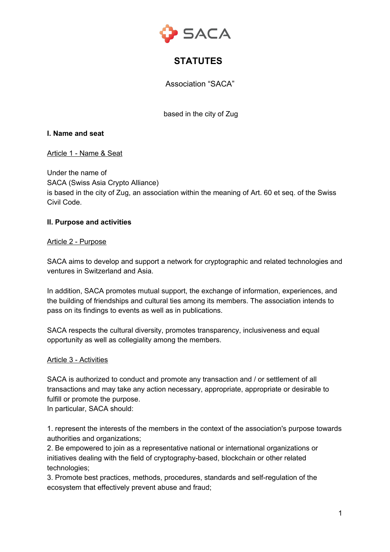

# **STATUTES**

Association "SACA"

based in the city of Zug

## **I. Name and seat**

## Article 1 - Name & Seat

Under the name of SACA (Swiss Asia Crypto Alliance) is based in the city of Zug, an association within the meaning of Art. 60 et seq. of the Swiss Civil Code.

## **II. Purpose and activities**

## Article 2 - Purpose

SACA aims to develop and support a network for cryptographic and related technologies and ventures in Switzerland and Asia.

In addition, SACA promotes mutual support, the exchange of information, experiences, and the building of friendships and cultural ties among its members. The association intends to pass on its findings to events as well as in publications.

SACA respects the cultural diversity, promotes transparency, inclusiveness and equal opportunity as well as collegiality among the members.

#### Article 3 - Activities

SACA is authorized to conduct and promote any transaction and / or settlement of all transactions and may take any action necessary, appropriate, appropriate or desirable to fulfill or promote the purpose.

In particular, SACA should:

1. represent the interests of the members in the context of the association's purpose towards authorities and organizations;

2. Be empowered to join as a representative national or international organizations or initiatives dealing with the field of cryptography-based, blockchain or other related technologies;

3. Promote best practices, methods, procedures, standards and self-regulation of the ecosystem that effectively prevent abuse and fraud;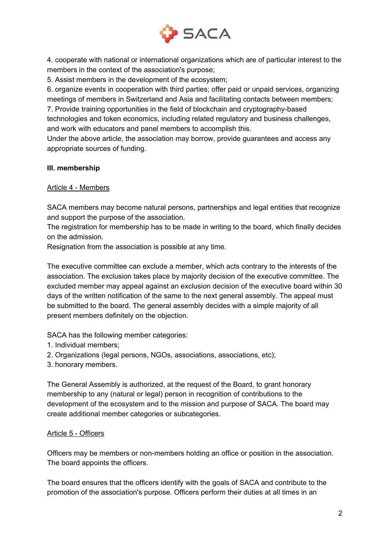

4. cooperate with national or international organizations which are of particular interest to the members in the context of the association's purpose;

5. Assist members in the development of the ecosystem;

6. organize events in cooperation with third parties; offer paid or unpaid services, organizing meetings of members in Switzerland and Asia and facilitating contacts between members;

7. Provide training opportunities in the field of blockchain and cryptography-based technologies and token economics, including related regulatory and business challenges, and work with educators and panel members to accomplish this.

Under the above article, the association may borrow, provide guarantees and access any appropriate sources of funding.

# **III. membership**

# Article 4 - Members

SACA members may become natural persons, partnerships and legal entities that recognize and support the purpose of the association.

The registration for membership has to be made in writing to the board, which finally decides on the admission.

Resignation from the association is possible at any time.

The executive committee can exclude a member, which acts contrary to the interests of the association. The exclusion takes place by majority decision of the executive committee. The excluded member may appeal against an exclusion decision of the executive board within 30 days of the written notification of the same to the next general assembly. The appeal must be submitted to the board. The general assembly decides with a simple majority of all present members definitely on the objection.

SACA has the following member categories:

- 1. Individual members;
- 2. Organizations (legal persons, NGOs, associations, associations, etc);
- 3. honorary members.

The General Assembly is authorized, at the request of the Board, to grant honorary membership to any (natural or legal) person in recognition of contributions to the development of the ecosystem and to the mission and purpose of SACA. The board may create additional member categories or subcategories.

# Article 5 - Officers

Officers may be members or non-members holding an office or position in the association. The board appoints the officers.

The board ensures that the officers identify with the goals of SACA and contribute to the promotion of the association's purpose. Officers perform their duties at all times in an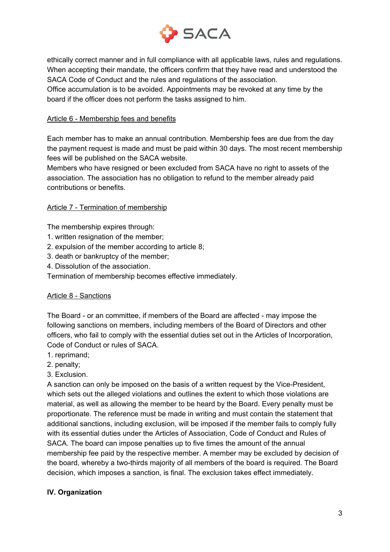

ethically correct manner and in full compliance with all applicable laws, rules and regulations. When accepting their mandate, the officers confirm that they have read and understood the SACA Code of Conduct and the rules and regulations of the association. Office accumulation is to be avoided. Appointments may be revoked at any time by the board if the officer does not perform the tasks assigned to him.

# Article 6 - Membership fees and benefits

Each member has to make an annual contribution. Membership fees are due from the day the payment request is made and must be paid within 30 days. The most recent membership fees will be published on the SACA website.

Members who have resigned or been excluded from SACA have no right to assets of the association. The association has no obligation to refund to the member already paid contributions or benefits.

## Article 7 - Termination of membership

The membership expires through:

- 1. written resignation of the member;
- 2. expulsion of the member according to article 8;
- 3. death or bankruptcy of the member;
- 4. Dissolution of the association.

Termination of membership becomes effective immediately.

#### Article 8 - Sanctions

The Board - or an committee, if members of the Board are affected - may impose the following sanctions on members, including members of the Board of Directors and other officers, who fail to comply with the essential duties set out in the Articles of Incorporation, Code of Conduct or rules of SACA.

- 1. reprimand;
- 2. penalty;
- 3. Exclusion.

A sanction can only be imposed on the basis of a written request by the Vice-President, which sets out the alleged violations and outlines the extent to which those violations are material, as well as allowing the member to be heard by the Board. Every penalty must be proportionate. The reference must be made in writing and must contain the statement that additional sanctions, including exclusion, will be imposed if the member fails to comply fully with its essential duties under the Articles of Association, Code of Conduct and Rules of SACA. The board can impose penalties up to five times the amount of the annual membership fee paid by the respective member. A member may be excluded by decision of the board, whereby a two-thirds majority of all members of the board is required. The Board decision, which imposes a sanction, is final. The exclusion takes effect immediately.

# **IV. Organization**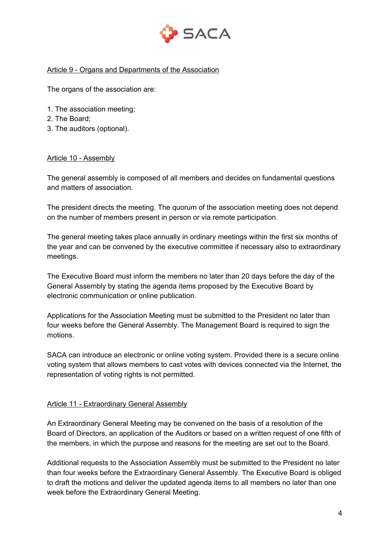

## Article 9 - Organs and Departments of the Association

The organs of the association are:

- 1. The association meeting;
- 2. The Board;
- 3. The auditors (optional).

## Article 10 - Assembly

The general assembly is composed of all members and decides on fundamental questions and matters of association.

The president directs the meeting. The quorum of the association meeting does not depend on the number of members present in person or via remote participation.

The general meeting takes place annually in ordinary meetings within the first six months of the year and can be convened by the executive committee if necessary also to extraordinary meetings.

The Executive Board must inform the members no later than 20 days before the day of the General Assembly by stating the agenda items proposed by the Executive Board by electronic communication or online publication.

Applications for the Association Meeting must be submitted to the President no later than four weeks before the General Assembly. The Management Board is required to sign the motions.

SACA can introduce an electronic or online voting system. Provided there is a secure online voting system that allows members to cast votes with devices connected via the Internet, the representation of voting rights is not permitted.

#### Article 11 - Extraordinary General Assembly

An Extraordinary General Meeting may be convened on the basis of a resolution of the Board of Directors, an application of the Auditors or based on a written request of one fifth of the members, in which the purpose and reasons for the meeting are set out to the Board.

Additional requests to the Association Assembly must be submitted to the President no later than four weeks before the Extraordinary General Assembly. The Executive Board is obliged to draft the motions and deliver the updated agenda items to all members no later than one week before the Extraordinary General Meeting.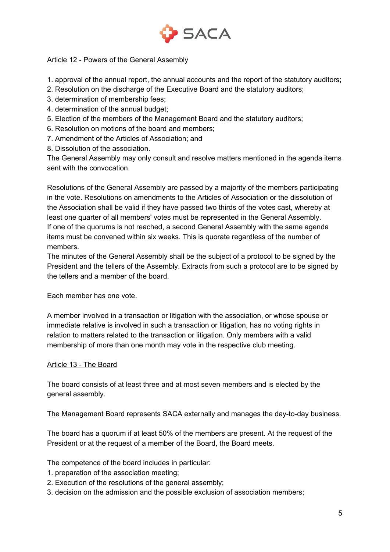

# Article 12 - Powers of the General Assembly

- 1. approval of the annual report, the annual accounts and the report of the statutory auditors;
- 2. Resolution on the discharge of the Executive Board and the statutory auditors;
- 3. determination of membership fees;
- 4. determination of the annual budget;
- 5. Election of the members of the Management Board and the statutory auditors;
- 6. Resolution on motions of the board and members;
- 7. Amendment of the Articles of Association; and
- 8. Dissolution of the association.

The General Assembly may only consult and resolve matters mentioned in the agenda items sent with the convocation.

Resolutions of the General Assembly are passed by a majority of the members participating in the vote. Resolutions on amendments to the Articles of Association or the dissolution of the Association shall be valid if they have passed two thirds of the votes cast, whereby at least one quarter of all members' votes must be represented in the General Assembly. If one of the quorums is not reached, a second General Assembly with the same agenda items must be convened within six weeks. This is quorate regardless of the number of members.

The minutes of the General Assembly shall be the subject of a protocol to be signed by the President and the tellers of the Assembly. Extracts from such a protocol are to be signed by the tellers and a member of the board.

Each member has one vote.

A member involved in a transaction or litigation with the association, or whose spouse or immediate relative is involved in such a transaction or litigation, has no voting rights in relation to matters related to the transaction or litigation. Only members with a valid membership of more than one month may vote in the respective club meeting.

# Article 13 - The Board

The board consists of at least three and at most seven members and is elected by the general assembly.

The Management Board represents SACA externally and manages the day-to-day business.

The board has a quorum if at least 50% of the members are present. At the request of the President or at the request of a member of the Board, the Board meets.

The competence of the board includes in particular:

- 1. preparation of the association meeting;
- 2. Execution of the resolutions of the general assembly;
- 3. decision on the admission and the possible exclusion of association members;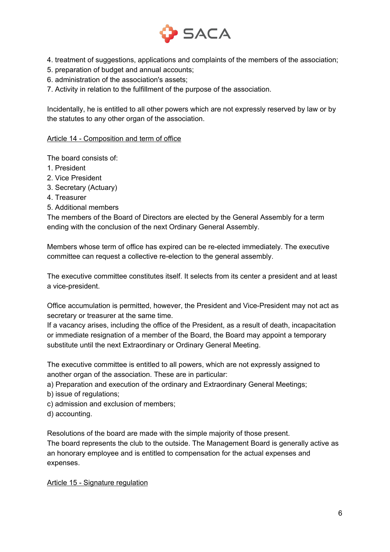

- 4. treatment of suggestions, applications and complaints of the members of the association;
- 5. preparation of budget and annual accounts;
- 6. administration of the association's assets;
- 7. Activity in relation to the fulfillment of the purpose of the association.

Incidentally, he is entitled to all other powers which are not expressly reserved by law or by the statutes to any other organ of the association.

#### Article 14 - Composition and term of office

The board consists of:

- 1. President
- 2. Vice President
- 3. Secretary (Actuary)
- 4. Treasurer
- 5. Additional members

The members of the Board of Directors are elected by the General Assembly for a term ending with the conclusion of the next Ordinary General Assembly.

Members whose term of office has expired can be re-elected immediately. The executive committee can request a collective re-election to the general assembly.

The executive committee constitutes itself. It selects from its center a president and at least a vice-president.

Office accumulation is permitted, however, the President and Vice-President may not act as secretary or treasurer at the same time.

If a vacancy arises, including the office of the President, as a result of death, incapacitation or immediate resignation of a member of the Board, the Board may appoint a temporary substitute until the next Extraordinary or Ordinary General Meeting.

The executive committee is entitled to all powers, which are not expressly assigned to another organ of the association. These are in particular:

- a) Preparation and execution of the ordinary and Extraordinary General Meetings;
- b) issue of regulations;
- c) admission and exclusion of members;
- d) accounting.

Resolutions of the board are made with the simple majority of those present. The board represents the club to the outside. The Management Board is generally active as an honorary employee and is entitled to compensation for the actual expenses and expenses.

Article 15 - Signature regulation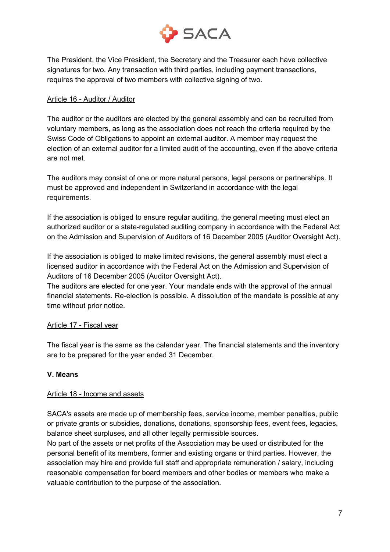

The President, the Vice President, the Secretary and the Treasurer each have collective signatures for two. Any transaction with third parties, including payment transactions, requires the approval of two members with collective signing of two.

## Article 16 - Auditor / Auditor

The auditor or the auditors are elected by the general assembly and can be recruited from voluntary members, as long as the association does not reach the criteria required by the Swiss Code of Obligations to appoint an external auditor. A member may request the election of an external auditor for a limited audit of the accounting, even if the above criteria are not met.

The auditors may consist of one or more natural persons, legal persons or partnerships. It must be approved and independent in Switzerland in accordance with the legal requirements.

If the association is obliged to ensure regular auditing, the general meeting must elect an authorized auditor or a state-regulated auditing company in accordance with the Federal Act on the Admission and Supervision of Auditors of 16 December 2005 (Auditor Oversight Act).

If the association is obliged to make limited revisions, the general assembly must elect a licensed auditor in accordance with the Federal Act on the Admission and Supervision of Auditors of 16 December 2005 (Auditor Oversight Act).

The auditors are elected for one year. Your mandate ends with the approval of the annual financial statements. Re-election is possible. A dissolution of the mandate is possible at any time without prior notice.

# Article 17 - Fiscal year

The fiscal year is the same as the calendar year. The financial statements and the inventory are to be prepared for the year ended 31 December.

# **V. Means**

#### Article 18 - Income and assets

SACA's assets are made up of membership fees, service income, member penalties, public or private grants or subsidies, donations, donations, sponsorship fees, event fees, legacies, balance sheet surpluses, and all other legally permissible sources.

No part of the assets or net profits of the Association may be used or distributed for the personal benefit of its members, former and existing organs or third parties. However, the association may hire and provide full staff and appropriate remuneration / salary, including reasonable compensation for board members and other bodies or members who make a valuable contribution to the purpose of the association.